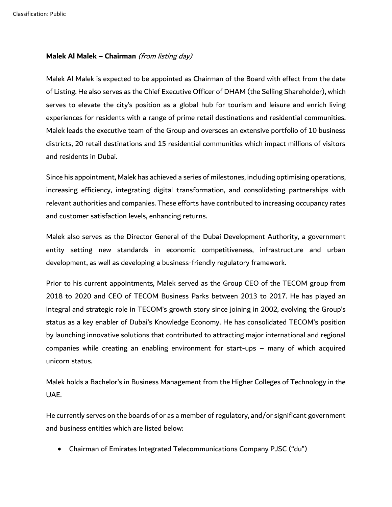## **Malek Al Malek – Chairman** (from listing day)

Malek Al Malek is expected to be appointed as Chairman of the Board with effect from the date of Listing. He also serves as the Chief Executive Officer of DHAM (the Selling Shareholder), which serves to elevate the city's position as a global hub for tourism and leisure and enrich living experiences for residents with a range of prime retail destinations and residential communities. Malek leads the executive team of the Group and oversees an extensive portfolio of 10 business districts, 20 retail destinations and 15 residential communities which impact millions of visitors and residents in Dubai.

Since his appointment, Malek has achieved a series of milestones, including optimising operations, increasing efficiency, integrating digital transformation, and consolidating partnerships with relevant authorities and companies. These efforts have contributed to increasing occupancy rates and customer satisfaction levels, enhancing returns.

Malek also serves as the Director General of the Dubai Development Authority, a government entity setting new standards in economic competitiveness, infrastructure and urban development, as well as developing a business-friendly regulatory framework.

Prior to his current appointments, Malek served as the Group CEO of the TECOM group from 2018 to 2020 and CEO of TECOM Business Parks between 2013 to 2017. He has played an integral and strategic role in TECOM's growth story since joining in 2002, evolving the Group's status as a key enabler of Dubai's Knowledge Economy. He has consolidated TECOM's position by launching innovative solutions that contributed to attracting major international and regional companies while creating an enabling environment for start-ups – many of which acquired unicorn status.

Malek holds a Bachelor's in Business Management from the Higher Colleges of Technology in the UAE.

He currently serves on the boards of or as a member of regulatory, and/or significant government and business entities which are listed below:

• Chairman of Emirates Integrated Telecommunications Company PJSC ("du")